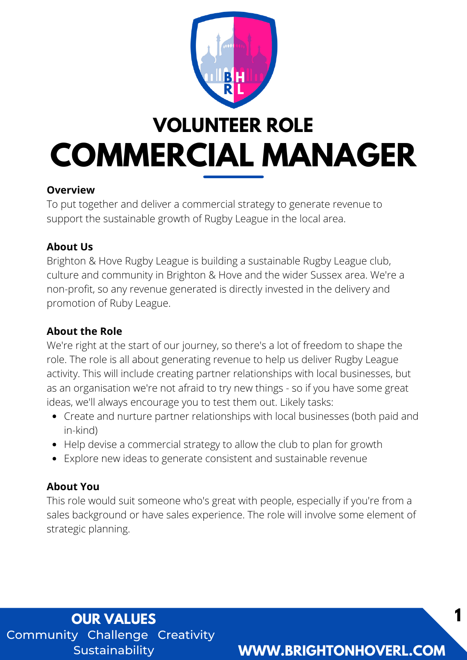

## **VOLUNTEER ROLE COMMERCIAL MANAGER**

#### **Overview**

To put together and deliver a commercial strategy to generate revenue to support the sustainable growth of Rugby League in the local area.

#### **About Us**

Brighton & Hove Rugby League is building a sustainable Rugby League club, culture and community in Brighton & Hove and the wider Sussex area. We're a non-profit, so any revenue generated is directly invested in the delivery and promotion of Ruby League.

#### **About the Role**

We're right at the start of our journey, so there's a lot of freedom to shape the role. The role is all about generating revenue to help us deliver Rugby League activity. This will include creating partner relationships with local businesses, but as an organisation we're not afraid to try new things - so if you have some great ideas, we'll always encourage you to test them out. Likely tasks:

- Create and nurture partner relationships with local businesses (both paid and in-kind)
- Help devise a commercial strategy to allow the club to plan for growth
- Explore new ideas to generate consistent and sustainable revenue

#### **About You**

This role would suit someone who's great with people, especially if you're from a sales background or have sales experience. The role will involve some element of strategic planning.

Community Challenge Creativity Sustainability **OUR VALUES**

### **WWW.BRIGHTONHOVERL.COM**

**1**